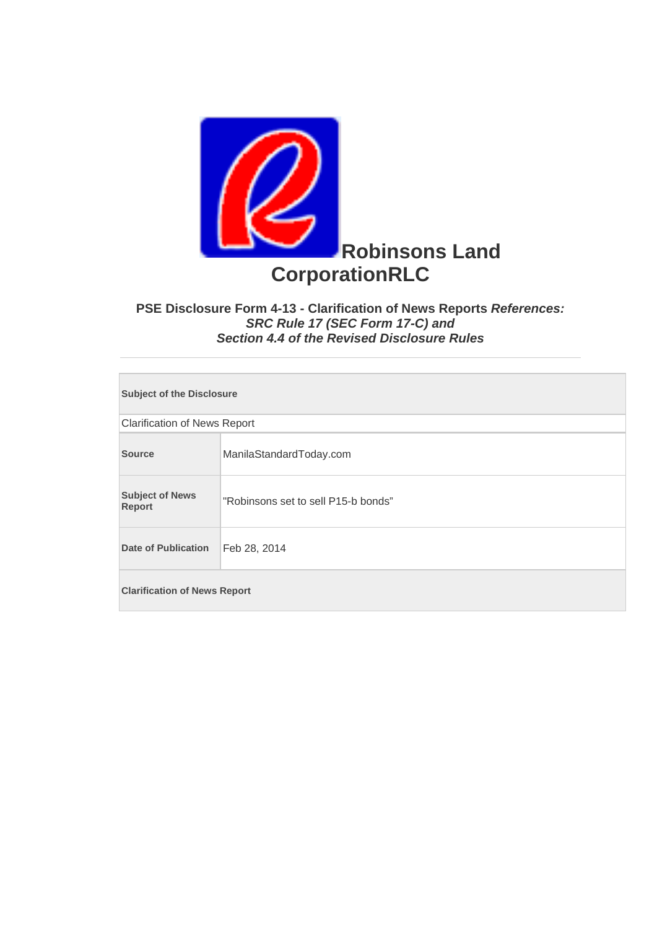

## **PSE Disclosure Form 4-13 - Clarification of News Reports** *References: SRC Rule 17 (SEC Form 17-C) and Section 4.4 of the Revised Disclosure Rules*

| <b>Subject of the Disclosure</b>        |                                     |  |
|-----------------------------------------|-------------------------------------|--|
| <b>Clarification of News Report</b>     |                                     |  |
| <b>Source</b>                           | ManilaStandardToday.com             |  |
| <b>Subject of News</b><br><b>Report</b> | "Robinsons set to sell P15-b bonds" |  |
| <b>Date of Publication</b>              | Feb 28, 2014                        |  |
| <b>Clarification of News Report</b>     |                                     |  |